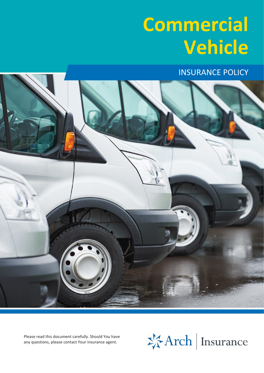# **Commercial Vehicle**

INSURANCE POLICY



Please read this document carefully. Should You have any questions, please contact Your insurance agent.

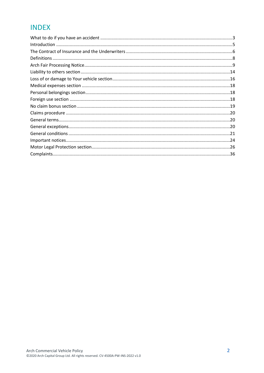### **INDEX**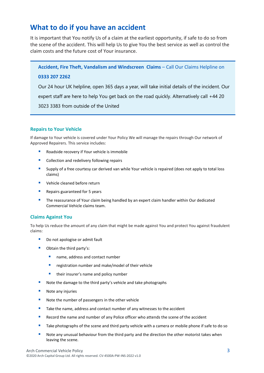### <span id="page-2-0"></span>**What to do if you have an accident**

It is important that You notify Us of a claim at the earliest opportunity, if safe to do so from the scene of the accident. This will help Us to give You the best service as well as control the claim costs and the future cost of Your insurance.

**Accident, Fire Theft, Vandalism and Windscreen Claims** – Call Our Claims Helpline on

#### **0333 207 2262**

Our 24 hour UK helpline, open 365 days a year, will take initial details of the incident. Our expert staff are here to help You get back on the road quickly. Alternatively call +44 20 3023 3383 from outside of the United

#### **Repairs to Your Vehicle**

If damage to Your vehicle is covered under Your Policy We will manage the repairs through Our network of Approved Repairers. This service includes:

- Roadside recovery if Your vehicle is immobile
- Collection and redelivery following repairs
- Supply of a free courtesy car derived van while Your vehicle is repaired (does not apply to total loss claims)
- Vehicle cleaned before return
- Repairs guaranteed for 5 years
- **•** The reassurance of Your claim being handled by an expert claim handler within Our dedicated Commercial Vehicle claims team.

#### **Claims Against You**

To help Us reduce the amount of any claim that might be made against You and protect You against fraudulent claims:

- Do not apologise or admit fault
- Obtain the third party's:
	- name, address and contact number
	- registration number and make/model of their vehicle
	- their insurer's name and policy number
- Note the damage to the third party's vehicle and take photographs
- Note any injuries
- Note the number of passengers in the other vehicle
- Take the name, address and contact number of any witnesses to the accident
- Record the name and number of any Police officer who attends the scene of the accident
- Take photographs of the scene and third party vehicle with a camera or mobile phone if safe to do so
- Note any unusual behaviour from the third party and the direction the other motorist takes when leaving the scene.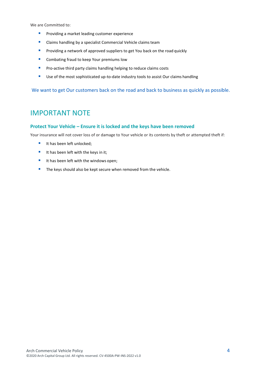We are Committed to:

- **•** Providing a market leading customer experience
- Claims handling by a specialist Commercial Vehicle claims team
- **•** Providing a network of approved suppliers to get You back on the road quickly
- Combating fraud to keep Your premiums low
- **•** Pro-active third party claims handling helping to reduce claims costs
- Use of the most sophisticated up-to-date industry tools to assist Our claims handling

We want to get Our customers back on the road and back to business as quickly as possible.

### IMPORTANT NOTE

#### **Protect Your Vehicle – Ensure it is locked and the keys have been removed**

Your insurance will not cover loss of or damage to Your vehicle or its contents by theft or attempted theft if:

- It has been left unlocked;
- It has been left with the keys in it;
- It has been left with the windows open;
- The keys should also be kept secure when removed from the vehicle.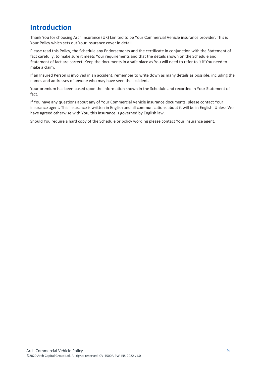# <span id="page-4-0"></span>**Introduction**

Thank You for choosing Arch Insurance (UK) Limited to be Your Commercial Vehicle insurance provider. This is Your Policy which sets out Your insurance cover in detail.

Please read this Policy, the Schedule any Endorsements and the certificate in conjunction with the Statement of fact carefully, to make sure it meets Your requirements and that the details shown on the Schedule and Statement of fact are correct. Keep the documents in a safe place as You will need to refer to it if You need to make a claim.

If an Insured Person is involved in an accident, remember to write down as many details as possible, including the names and addresses of anyone who may have seen the accident.

Your premium has been based upon the information shown in the Schedule and recorded in Your Statement of fact.

If You have any questions about any of Your Commercial Vehicle insurance documents, please contact Your insurance agent. This insurance is written in English and all communications about it will be in English. Unless We have agreed otherwise with You, this insurance is governed by English law.

Should You require a hard copy of the Schedule or policy wording please contact Your insurance agent.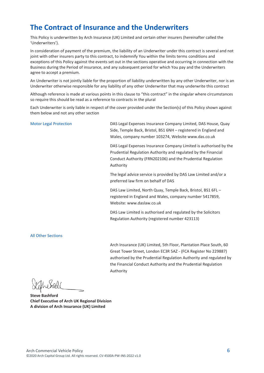### <span id="page-5-0"></span>**The Contract of Insurance and the Underwriters**

This Policy is underwritten by Arch Insurance (UK) Limited and certain other insurers (hereinafter called the 'Underwriters').

In consideration of payment of the premium, the liability of an Underwriter under this contract is several and not joint with other insurers party to this contract, to indemnify You within the limits terms conditions and exceptions of this Policy against the events set out in the sections operative and occurring in connection with the Business during the Period of insurance, and any subsequent period for which You pay and the Underwriters agree to accept a premium.

An Underwriter is not jointly liable for the proportion of liability underwritten by any other Underwriter, nor is an Underwriter otherwise responsible for any liability of any other Underwriter that may underwrite this contract

Although reference is made at various points in this clause to "this contract" in the singular where circumstances so require this should be read as a reference to contracts in the plural

Each Underwriter is only liable in respect of the cover provided under the Section(s) of this Policy shown against them below and not any other section

| <b>Motor Legal Protection</b> | DAS Legal Expenses Insurance Company Limited, DAS House, Quay<br>Side, Temple Back, Bristol, BS1 6NH – registered in England and<br>Wales, company number 103274, Website www.das.co.uk                         |
|-------------------------------|-----------------------------------------------------------------------------------------------------------------------------------------------------------------------------------------------------------------|
|                               | DAS Legal Expenses Insurance Company Limited is authorised by the<br>Prudential Regulation Authority and regulated by the Financial<br>Conduct Authority (FRN202106) and the Prudential Regulation<br>Authority |
|                               | The legal advice service is provided by DAS Law Limited and/or a<br>preferred law firm on behalf of DAS                                                                                                         |
|                               | DAS Law Limited, North Quay, Temple Back, Bristol, BS1 6FL -<br>registered in England and Wales, company number 5417859,<br>Website: www.daslaw.co.uk                                                           |
|                               |                                                                                                                                                                                                                 |

DAS Law Limited is authorised and regulated by the Solicitors Regulation Authority (registered number 423113)

#### All Other Sections

Arch Insurance (UK) Limited, 5th Floor, Plantation Place South, 60 Great Tower Street, London EC3R 5AZ - (FCA Register No 229887) authorised by the Prudential Regulation Authority and regulated by the Financial Conduct Authority and the Prudential Regulation Authority

**Steve Bashford Chief Executive of Arch UK Regional Division A division of Arch Insurance (UK) Limited**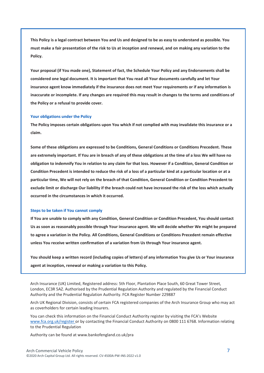**This Policy is a legal contract between You and Us and designed to be as easy to understand as possible. You must make a fair presentation of the risk to Us at inception and renewal, and on making any variation to the Policy.**

**Your proposal (if You made one), Statement of fact, the Schedule Your Policy and any Endorsements shall be considered one legal document. It is important that You read all Your documents carefully and let Your insurance agent know immediately if the insurance does not meet Your requirements or if any information is inaccurate or incomplete. If any changes are required this may result in changes to the terms and conditions of the Policy or a refusal to provide cover.**

#### **Your obligations under the Policy**

**The Policy imposes certain obligations upon You which if not complied with may invalidate this insurance or a claim.**

**Some of these obligations are expressed to be Conditions, General Conditions or Conditions Precedent. These are extremely important. If You are in breach of any of these obligations at the time of a loss We will have no obligation to indemnify You in relation to any claim for that loss. However if a Condition, General Condition or Condition Precedent is intended to reduce the risk of a loss of a particular kind at a particular location or at a particular time, We will not rely on the breach of that Condition, General Condition or Condition Precedent to exclude limit or discharge Our liability if the breach could not have increased the risk of the loss which actually occurred in the circumstances in which it occurred.**

#### **Steps to be taken if You cannot comply**

**If You are unable to comply with any Condition, General Condition or Condition Precedent, You should contact Us as soon as reasonably possible through Your insurance agent. We will decide whether We might be prepared to agree a variation in the Policy. All Conditions, General Conditions or Conditions Precedent remain effective unless You receive written confirmation of a variation from Us through Your insurance agent.**

**You should keep a written record (including copies of letters) of any information You give Us or Your insurance agent at inception, renewal or making a variation to this Policy.**

Arch Insurance (UK) Limited, Registered address: 5th Floor, Plantation Place South, 60 Great Tower Street, London, EC3R 5AZ. Authorised by the Prudential Regulation Authority and regulated by the Financial Conduct Authority and the Prudential Regulation Authority. FCA Register Number 229887

Arch UK Regional Division, consists of certain FCA registered companies of the Arch Insurance Group who may act as coverholders for certain leading Insurers.

You can check this information on the Financial Conduct Authority register by visiting the FCA's Website [www.fca.org.uk/register o](http://www.fca.org.uk/register)r by contacting the Financial Conduct Authority on 0800 111 6768. Information relating to the Prudential Regulation

Authority can be found at [www.bankofengland.co.uk/pra](http://www.bankofengland.co.uk/pra)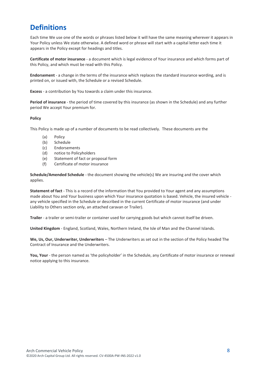# <span id="page-7-0"></span>**Definitions**

Each time We use one of the words or phrases listed below it will have the same meaning wherever it appears in Your Policy unless We state otherwise. A defined word or phrase will start with a capital letter each time it appears in the Policy except for headings and titles.

**Certificate of motor insurance** - a document which is legal evidence of Your insurance and which forms part of this Policy, and which must be read with this Policy.

**Endorsement** - a change in the terms of the insurance which replaces the standard insurance wording, and is printed on, or issued with, the Schedule or a revised Schedule.

**Excess** - a contribution by You towards a claim under this insurance.

**Period of insurance** - the period of time covered by this insurance (as shown in the Schedule) and any further period We accept Your premium for.

#### **Policy**

This Policy is made up of a number of documents to be read collectively. These documents are the

- (a) Policy
- (b) Schedule
- (c) Endorsements
- (d) notice to Policyholders
- (e) Statement of fact or proposal form
- (f) Certificate of motor insurance

**Schedule/Amended Schedule** - the document showing the vehicle(s) We are insuring and the cover which applies.

**Statement of fact** - This is a record of the information that You provided to Your agent and any assumptions made about You and Your business upon which Your insurance quotation is based. Vehicle, the insured vehicle any vehicle specified in the Schedule or described in the current Certificate of motor insurance (and under Liability to Others section only, an attached caravan or Trailer).

**Trailer** - a trailer or semi-trailer or container used for carrying goods but which cannot itself be driven.

**United Kingdom** - England, Scotland, Wales, Northern Ireland, the Isle of Man and the Channel Islands.

**We, Us, Our, Underwriter, Underwriters** – The Underwriters as set out in the section of the Policy headed The Contract of Insurance and the Underwriters.

**You, Your** - the person named as 'the policyholder' in the Schedule, any Certificate of motor insurance or renewal notice applying to this insurance.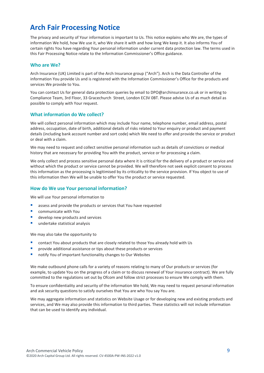# <span id="page-8-0"></span>**Arch Fair Processing Notice**

The privacy and security of Your information is important to Us. This notice explains who We are, the types of information We hold, how We use it, who We share it with and how long We keep it. It also informs You of certain rights You have regarding Your personal information under current data protection law. The terms used in this Fair Processing Notice relate to the Information Commissioner's Office guidance.

#### **Who are We?**

Arch Insurance (UK) Limited is part of the Arch Insurance group ("Arch"). Arch is the Data Controller of the information You provide Us and is registered with the Information Commissioner's Office for the products and services We provide to You.

You can contact Us for general data protection queries by email to DPO@archinsurance.co.uk or in writing to Compliance Team, 3rd Floor, 33 Gracechurch Street, London EC3V 0BT. Please advise Us of as much detail as possible to comply with Your request.

#### **What information do We collect?**

We will collect personal information which may include Your name, telephone number, email address, postal address, occupation, date of birth, additional details of risks related to Your enquiry or product and payment details (including bank account number and sort code) which We need to offer and provide the service or product or deal with a claim.

We may need to request and collect sensitive personal information such as details of convictions or medical history that are necessary for providing You with the product, service or for processing a claim.

We only collect and process sensitive personal data where it is critical for the delivery of a product or service and without which the product or service cannot be provided. We will therefore not seek explicit consent to process this information as the processing is legitimised by its criticality to the service provision. If You object to use of this information then We will be unable to offer You the product or service requested.

#### **How do We use Your personal information?**

We will use Your personal information to

- assess and provide the products or services that You have requested
- communicate with You
- develop new products and services
- undertake statistical analysis

We may also take the opportunity to

- contact You about products that are closely related to those You already hold with Us
- provide additional assistance or tips about these products or services
- notify You of important functionality changes to Our Websites

We make outbound phone calls for a variety of reasons relating to many of Our products or services (for example, to update You on the progress of a claim or to discuss renewal of Your insurance contract). We are fully committed to the regulations set out by Ofcom and follow strict processes to ensure We comply with them.

To ensure confidentiality and security of the information We hold, We may need to request personal information and ask security questions to satisfy ourselves that You are who You say You are.

We may aggregate information and statistics on Website Usage or for developing new and existing products and services, and We may also provide this information to third parties. These statistics will not include information that can be used to identify any individual.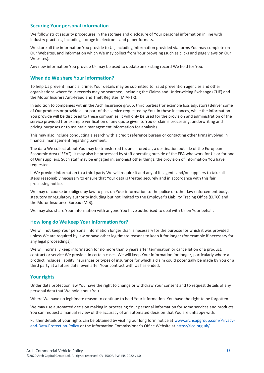#### **Securing Your personal information**

We follow strict security procedures in the storage and disclosure of Your personal information in line with industry practices, including storage in electronic and paper formats.

We store all the information You provide to Us, including information provided via forms You may complete on Our Websites, and information which We may collect from Your browsing (such as clicks and page views on Our Websites).

Any new information You provide Us may be used to update an existing record We hold for You.

#### **When do We share Your information?**

To help Us prevent financial crime, Your details may be submitted to fraud prevention agencies and other organisations where Your records may be searched, including the Claims and Underwriting Exchange (CUE) and the Motor Insurers Anti-Fraud and Theft Register (MIAFTR).

In addition to companies within the Arch Insurance group, third parties (for example loss adjustors) deliver some of Our products or provide all or part of the service requested by You. In these instances, while the information You provide will be disclosed to these companies, it will only be used for the provision and administration of the service provided (for example verification of any quote given to You or claims processing, underwriting and pricing purposes or to maintain management information for analysis).

This may also include conducting a search with a credit reference bureau or contacting other firms involved in financial management regarding payment.

The data We collect about You may be transferred to, and stored at, a destination outside of the European Economic Area ("EEA"). It may also be processed by staff operating outside of the EEA who work for Us or for one of Our suppliers. Such staff may be engaged in, amongst other things, the provision of information You have requested.

If We provide information to a third party We will require it and any of its agents and/or suppliers to take all steps reasonably necessary to ensure that Your data is treated securely and in accordance with this fair processing notice.

We may of course be obliged by law to pass on Your information to the police or other law enforcement body, statutory or regulatory authority including but not limited to the Employer's Liability Tracing Office (ELTO) and the Motor Insurance Bureau (MIB).

We may also share Your information with anyone You have authorised to deal with Us on Your behalf.

#### **How long do We keep Your information for?**

We will not keep Your personal information longer than is necessary for the purpose for which it was provided unless We are required by law or have other legitimate reasons to keep it for longer (for example if necessary for any legal proceedings).

We will normally keep information for no more than 6 years after termination or cancellation of a product, contract or service We provide. In certain cases, We will keep Your information for longer, particularly where a product includes liability insurances or types of insurance for which a claim could potentially be made by You or a third party at a future date, even after Your contract with Us has ended.

#### **Your rights**

Under data protection law You have the right to change or withdraw Your consent and to request details of any personal data that We hold about You.

Where We have no legitimate reason to continue to hold Your information, You have the right to be forgotten.

We may use automated decision making in processing Your personal information for some services and products. You can request a manual review of the accuracy of an automated decision that You are unhappy with.

Further details of your rights can be obtained by visiting our long form notice at [www.archcapgroup.com/Privacy](http://www.archcapgroup.com/Privacy-and-Data-Protection-Policy)[and-Data-Protection-Policy](http://www.archcapgroup.com/Privacy-and-Data-Protection-Policy) or the Information Commissioner's Office Website at [https://ico.org.uk/.](https://ico.org.uk/)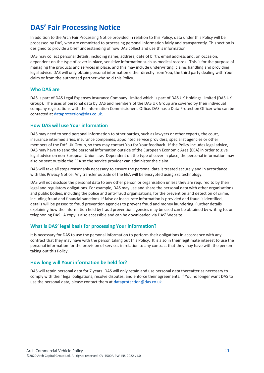## **DAS' Fair Processing Notice**

In addition to the Arch Fair Processing Notice provided in relation to this Policy, data under this Policy will be processed by DAS, who are committed to processing personal information fairly and transparently. This section is designed to provide a brief understanding of how DAS collect and use this information.

DAS may collect personal details, including name, address, date of birth, email address and, on occasion, dependent on the type of cover in place, sensitive information such as medical records. This is for the purpose of managing the products and services in place, and this may include underwriting, claims handling and providing legal advice. DAS will only obtain personal information either directly from You, the third party dealing with Your claim or from the authorised partner who sold this Policy.

#### **Who DAS are**

DAS is part of DAS Legal Expenses Insurance Company Limited which is part of DAS UK Holdings Limited (DAS UK Group). The uses of personal data by DAS and members of the DAS UK Group are covered by their individual company registrations with the Information Commissioner's Office. DAS has a Data Protection Officer who can be contacted at [dataprotection@das.co.uk.](mailto:dataprotection@das.co.uk)

#### **How DAS will use Your information**

DAS may need to send personal information to other parties, such as lawyers or other experts, the court, insurance intermediaries, insurance companies, appointed service providers, specialist agencies or other members of the DAS UK Group, so they may contact You for Your feedback. If the Policy includes legal advice, DAS may have to send the personal information outside of the European Economic Area (EEA) in order to give legal advice on non-European Union law. Dependent on the type of cover in place, the personal information may also be sent outside the EEA so the service provider can administer the claim.

DAS will take all steps reasonably necessary to ensure the personal data is treated securely and in accordance with this Privacy Notice. Any transfer outside of the EEA will be encrypted using SSL technology.

DAS will not disclose the personal data to any other person or organisation unless they are required to by their legal and regulatory obligations. For example, DAS may use and share the personal data with other organisations and public bodies, including the police and anti-fraud organisations, for the prevention and detection of crime, including fraud and financial sanctions. If false or inaccurate information is provided and fraud is identified, details will be passed to fraud prevention agencies to prevent fraud and money laundering. Further details explaining how the information held by fraud prevention agencies may be used can be obtained by writing to, or telephoning DAS. A copy is also accessible and can be downloaded via DAS' Website.

#### **What is DAS' legal basis for processing Your information?**

It is necessary for DAS to use the personal information to perform their obligations in accordance with any contract that they may have with the person taking out this Policy. It is also in their legitimate interest to use the personal information for the provision of services in relation to any contract that they may have with the person taking out this Policy.

#### **How long will Your information be held for?**

DAS will retain personal data for 7 years. DAS will only retain and use personal data thereafter as necessary to comply with their legal obligations, resolve disputes, and enforce their agreements. If You no longer want DAS to use the personal data, please contact them a[t dataprotection@das.co.uk.](mailto:dataprotection@das.co.uk)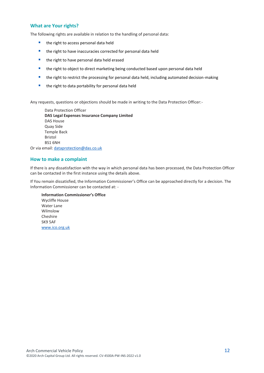#### **What are Your rights?**

The following rights are available in relation to the handling of personal data:

- the right to access personal data held
- the right to have inaccuracies corrected for personal data held
- the right to have personal data held erased
- the right to object to direct marketing being conducted based upon personal data held
- the right to restrict the processing for personal data held, including automated decision-making
- the right to data portability for personal data held

Any requests, questions or objections should be made in writing to the Data Protection Officer:-

Data Protection Officer **DAS Legal Expenses Insurance Company Limited** DAS House Quay Side Temple Back Bristol BS1 6NH Or via email: [dataprotection@das.co.uk](mailto:dataprotection@das.co.uk)

#### **How to make a complaint**

If there is any dissatisfaction with the way in which personal data has been processed, the Data Protection Officer can be contacted in the first instance using the details above.

If You remain dissatisfied, the Information Commissioner's Office can be approached directly for a decision. The Information Commissioner can be contacted at: -

**Information Commissioner's Office** Wycliffe House Water Lane Wilmslow Cheshire SK9 5AF [www.ico.org.uk](file://///AIGI-PAVNAS002.corp.archcapservices.com/Branding/_BCS/00_WIP/00509-UK-Policy-Templates/00509G-3-Schemes-ArchBranded/Word_docs/UK-Templates-3-20/FINAL/www.ico.org.uk)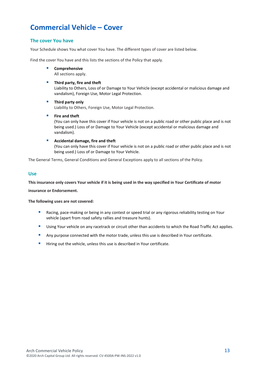# **Commercial Vehicle – Cover**

#### **The cover You have**

Your Schedule shows You what cover You have. The different types of cover are listed below.

Find the cover You have and this lists the sections of the Policy that apply.

▪ **Comprehensive**

All sections apply.

#### **E** Third party, fire and theft

Liability to Others, Loss of or Damage to Your Vehicle (except accidental or malicious damage and vandalism), Foreign Use, Motor Legal Protection.

- **Third party only** Liability to Others, Foreign Use, Motor Legal Protection.
- **Fire and theft** (You can only have this cover if Your vehicle is not on a public road or other public place and is not being used.) Loss of or Damage to Your Vehicle (except accidental or malicious damage and vandalism).
- **Accidental damage, fire and theft** (You can only have this cover if Your vehicle is not on a public road or other public place and is not being used.) Loss of or Damage to Your Vehicle.

The General Terms, General Conditions and General Exceptions apply to all sections of the Policy.

#### **Use**

**This insurance only covers Your vehicle if it is being used in the way specified in Your Certificate of motor insurance or Endorsement.**

**The following uses are not covered:**

- Racing, pace-making or being in any contest or speed trial or any rigorous reliability testing on Your vehicle (apart from road safety rallies and treasure hunts).
- **E** Using Your vehicle on any racetrack or circuit other than accidents to which the Road Traffic Act applies.
- Any purpose connected with the motor trade, unless this use is described in Your certificate.
- **E** Hiring out the vehicle, unless this use is described in Your certificate.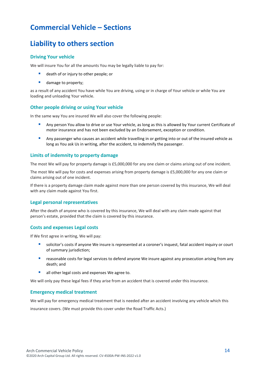# **Commercial Vehicle – Sections**

### <span id="page-13-0"></span>**Liability to others section**

#### **Driving Your vehicle**

We will insure You for all the amounts You may be legally liable to pay for:

- death of or injury to other people; or
- damage to property;

as a result of any accident You have while You are driving, using or in charge of Your vehicle or while You are loading and unloading Your vehicle.

#### **Other people driving or using Your vehicle**

In the same way You are insured We will also cover the following people:

- Any person You allow to drive or use Your vehicle, as long as this is allowed by Your current Certificate of motor insurance and has not been excluded by an Endorsement, exception or condition.
- Any passenger who causes an accident while travelling in or getting into or out of the insured vehicle as long as You ask Us in writing, after the accident, to indemnify the passenger.

#### **Limits of indemnity to property damage**

The most We will pay for property damage is £5,000,000 for any one claim or claims arising out of one incident.

The most We will pay for costs and expenses arising from property damage is £5,000,000 for any one claim or claims arising out of one incident.

If there is a property damage claim made against more than one person covered by this insurance, We will deal with any claim made against You first.

#### **Legal personal representatives**

After the death of anyone who is covered by this insurance, We will deal with any claim made against that person's estate, provided that the claim is covered by this insurance.

#### **Costs and expenses Legal costs**

If We first agree in writing, We will pay:

- solicitor's costs if anyone We insure is represented at a coroner's inquest, fatal accident inquiry or court of summary jurisdiction;
- reasonable costs for legal services to defend anyone We insure against any prosecution arising from any death; and
- all other legal costs and expenses We agree to.

We will only pay these legal fees if they arise from an accident that is covered under this insurance.

#### **Emergency medical treatment**

We will pay for emergency medical treatment that is needed after an accident involving any vehicle which this

insurance covers. (We must provide this cover under the Road Traffic Acts.)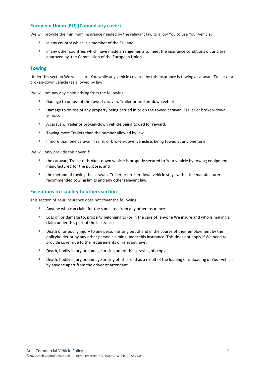#### **European Union (EU) (Compulsory cover)**

We will provide the minimum insurance needed by the relevant law to allow You to use Your vehicle:

- in any country which is a member of the EU; and
- in any other countries which have made arrangements to meet the insurance conditions of, and are approved by, the Commission of the European Union.

#### **Towing**

Under this section We will insure You while any vehicle covered by this insurance is towing a caravan, Trailer or a broken-down vehicle (as allowed by law).

We will not pay any claim arising from the following:

- Damage to or loss of the towed caravan, Trailer or broken-down vehicle.
- **E** Damage to or loss of any property being carried in or on the towed caravan, Trailer or broken-down vehicle.
- A caravan, Trailer or broken-down vehicle being towed for reward.
- Towing more Trailers than the number allowed by law.
- **■** If more than one caravan, Trailer or broken-down vehicle is being towed at any one time.

We will only provide this cover if:

- the caravan, Trailer or broken-down vehicle is properly secured to Your vehicle by towing equipment manufactured for the purpose; and
- **■** the method of towing the caravan, Trailer or broken-down vehicle stays within the manufacturer's recommended towing limits and any other relevant law.

#### **Exceptions to Liability to others section**

This section of Your insurance does not cover the following:

- Anyone who can claim for the same loss from any other insurance.
- Loss of, or damage to, property belonging to (or in the care of) anyone We insure and who is making a claim under this part of the insurance.
- **E** Death of or bodily injury to any person arising out of and in the course of their employment by the policyholder or by any other person claiming under this insurance. This does not apply if We need to provide cover due to the requirements of relevant laws.
- **Death, bodily injury or damage arising out of the spraying of crops.**
- **•** Death, bodily injury or damage arising off the road as a result of the loading or unloading of Your vehicle by anyone apart from the driver or attendant.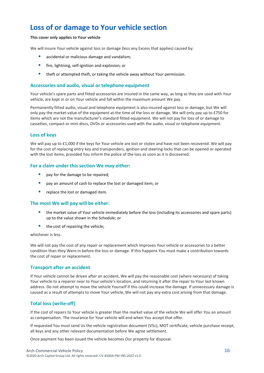# <span id="page-15-0"></span>**Loss of or damage to Your vehicle section**

#### **This cover only applies to Your vehicle**

We will insure Your vehicle against loss or damage (less any Excess that applies) caused by:

- accidental or malicious damage and vandalism;
- **■** fire, lightning, self-ignition and explosion; or
- **E** theft or attempted theft, or taking the vehicle away without Your permission.

#### **Accessories and audio, visual or telephone equipment**

Your vehicle's spare parts and fitted accessories are insured in the same way, as long as they are used with Your vehicle, are kept in or on Your vehicle and fall within the maximum amount We pay.

Permanently fitted audio, visual and telephone equipment is also insured against loss or damage, but We will only pay the market value of the equipment at the time of the loss or damage. We will only pay up to £750 for items which are not the manufacturer's standard fitted equipment. We will not pay for loss of or damage to cassettes, compact or mini discs, DVDs or accessories used with the audio, visual or telephone equipment.

#### **Loss of keys**

We will pay up to £1,000 if the keys for Your vehicle are lost or stolen and have not been recovered. We will pay for the cost of replacing entry key and transponders, ignition and steering locks that can be opened or operated with the lost items, provided You inform the police of the loss as soon as it is discovered.

#### **For a claim under this section We may either:**

- **pay for the damage to be repaired;**
- pay an amount of cash to replace the lost or damaged item; or
- **•** replace the lost or damaged item.

#### **The most We will pay will be either:**

- the market value of Your vehicle immediately before the loss (including its accessories and spare parts) up to the value shown in the Schedule; or
- the cost of repairing the vehicle;

whichever is less.

We will not pay the cost of any repair or replacement which improves Your vehicle or accessories to a better condition than they Were in before the loss or damage. If this happens You must make a contribution towards the cost of repair or replacement.

#### **Transport after an accident**

If Your vehicle cannot be driven after an accident, We will pay the reasonable cost (where necessary) of taking Your vehicle to a repairer near to Your vehicle's location, and returning it after the repair to Your last known address. Do not attempt to move the vehicle Yourself if this could increase the damage. If unnecessary damage is caused as a result of attempts to move Your vehicle, We will not pay any extra cost arising from that damage.

#### **Total loss (write-off)**

If the cost of repairs to Your vehicle is greater than the market value of the vehicle We will offer You an amount as compensation. The insurance for Your vehicle will end when You accept that offer.

If requested You must send Us the vehicle registration document (V5c), MOT certificate, vehicle purchase receipt, all keys and any other relevant documentation before We agree settlement.

Once payment has been issued the vehicle becomes Our property for disposal.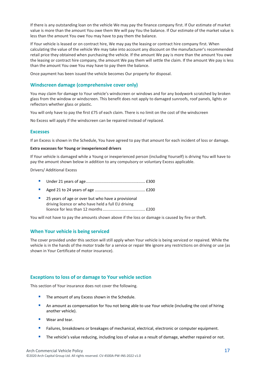If there is any outstanding loan on the vehicle We may pay the finance company first. If Our estimate of market value is more than the amount You owe them We will pay You the balance. If Our estimate of the market value is less than the amount You owe You may have to pay them the balance.

If Your vehicle is leased or on contract hire, We may pay the leasing or contract hire company first. When calculating the value of the vehicle We may take into account any discount on the manufacturer's recommended retail price they obtained when purchasing the vehicle. If the amount We pay is more than the amount You owe the leasing or contract hire company, the amount We pay them will settle the claim. If the amount We pay is less than the amount You owe You may have to pay them the balance.

Once payment has been issued the vehicle becomes Our property for disposal.

#### **Windscreen damage (comprehensive cover only)**

You may claim for damage to Your vehicle's windscreen or windows and for any bodywork scratched by broken glass from the window or windscreen. This benefit does not apply to damaged sunroofs, roof panels, lights or reflectors whether glass or plastic.

You will only have to pay the first £75 of each claim. There is no limit on the cost of the windscreen

No Excess will apply if the windscreen can be repaired instead of replaced.

#### **Excesses**

If an Excess is shown in the Schedule, You have agreed to pay that amount for each incident of loss or damage.

#### **Extra excesses for Young or inexperienced drivers**

If Your vehicle is damaged while a Young or inexperienced person (including Yourself) is driving You will have to pay the amount shown below in addition to any compulsory or voluntary Excess applicable.

Drivers/ Additional Excess

- Under 21 years of age..................................................... £300
- Aged 21 to 24 years of age ............................................. £200
- 25 years of age or over but who have a provisional driving licence or who have held a full EU driving licence for less than 12 months...................................... £200

You will not have to pay the amounts shown above if the loss or damage is caused by fire or theft.

#### **When Your vehicle is being serviced**

The cover provided under this section will still apply when Your vehicle is being serviced or repaired. While the vehicle is in the hands of the motor trade for a service or repair We ignore any restrictions on driving or use (as shown in Your Certificate of motor insurance).

#### **Exceptions to loss of or damage to Your vehicle section**

This section of Your insurance does not cover the following.

- **The amount of any Excess shown in the Schedule.**
- **An amount as compensation for You not being able to use Your vehicle (including the cost of hiring** another vehicle).
- Wear and tear.
- Failures, breakdowns or breakages of mechanical, electrical, electronic or computer equipment.
- **■** The vehicle's value reducing, including loss of value as a result of damage, whether repaired or not.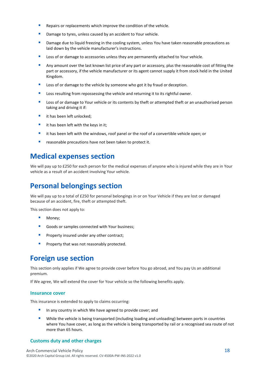- **E** Repairs or replacements which improve the condition of the vehicle.
- Damage to tyres, unless caused by an accident to Your vehicle.
- **■** Damage due to liquid freezing in the cooling system, unless You have taken reasonable precautions as laid down by the vehicle manufacturer's instructions.
- Loss of or damage to accessories unless they are permanently attached to Your vehicle.
- **EXECT Any amount over the last known list price of any part or accessory, plus the reasonable cost of fitting the** part or accessory, if the vehicle manufacturer or its agent cannot supply it from stock held in the United Kingdom.
- Loss of or damage to the vehicle by someone who got it by fraud or deception.
- Loss resulting from repossessing the vehicle and returning it to its rightful owner.
- Loss of or damage to Your vehicle or its contents by theft or attempted theft or an unauthorised person taking and driving it if:
- it has been left unlocked;
- $\blacksquare$  it has been left with the keys in it;
- it has been left with the windows, roof panel or the roof of a convertible vehicle open; or
- reasonable precautions have not been taken to protect it.

### <span id="page-17-0"></span>**Medical expenses section**

We will pay up to £250 for each person for the medical expenses of anyone who is injured while they are in Your vehicle as a result of an accident involving Your vehicle.

# <span id="page-17-1"></span>**Personal belongings section**

We will pay up to a total of £250 for personal belongings in or on Your Vehicle if they are lost or damaged because of an accident, fire, theft or attempted theft.

This section does not apply to:

- Money;
- Goods or samples connected with Your business;
- **Property insured under any other contract;**
- **Pedally** Property that was not reasonably protected.

### <span id="page-17-2"></span>**Foreign use section**

This section only applies if We agree to provide cover before You go abroad, and You pay Us an additional premium.

If We agree, We will extend the cover for Your vehicle so the following benefits apply.

#### **Insurance cover**

This insurance is extended to apply to claims occurring:

- In any country in which We have agreed to provide cover; and
- While the vehicle is being transported (including loading and unloading) between ports in countries where You have cover, as long as the vehicle is being transported by rail or a recognised sea route of not more than 65 hours.

#### **Customs duty and other charges**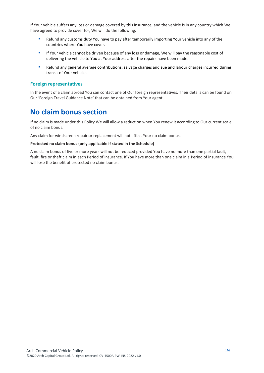If Your vehicle suffers any loss or damage covered by this insurance, and the vehicle is in any country which We have agreed to provide cover for, We will do the following:

- Refund any customs duty You have to pay after temporarily importing Your vehicle into any of the countries where You have cover.
- **■** If Your vehicle cannot be driven because of any loss or damage, We will pay the reasonable cost of delivering the vehicle to You at Your address after the repairs have been made.
- **E** Refund any general average contributions, salvage charges and sue and labour charges incurred during transit of Your vehicle.

#### **Foreign representatives**

In the event of a claim abroad You can contact one of Our foreign representatives. Their details can be found on Our 'Foreign Travel Guidance Note' that can be obtained from Your agent.

### <span id="page-18-0"></span>**No claim bonus section**

If no claim is made under this Policy We will allow a reduction when You renew it according to Our current scale of no claim bonus.

Any claim for windscreen repair or replacement will not affect Your no claim bonus.

#### **Protected no claim bonus (only applicable if stated in the Schedule)**

A no claim bonus of five or more years will not be reduced provided You have no more than one partial fault, fault, fire or theft claim in each Period of insurance. If You have more than one claim in a Period of insurance You will lose the benefit of protected no claim bonus.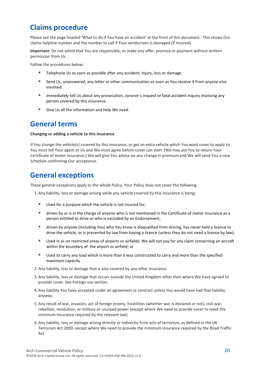### <span id="page-19-0"></span>**Claims procedure**

Please see the page headed 'What to do if You have an accident' at the front of this document. This shows Our claims helpline number and the number to call if Your windscreen is damaged (if insured).

**Important:** Do not admit that You are responsible, or make any offer, promise or payment without written permission from Us.

Follow the procedures below.

- **E** Telephone Us as soon as possible after any accident, injury, loss or damage.
- Send Us, unanswered, any letter or other communication as soon as You receive it from anyone else involved.
- **E** Immediately tell Us about any prosecution, coroner's inquest or fatal accident inquiry involving any person covered by this insurance.
- Give Us all the information and help We need.

### <span id="page-19-1"></span>**General terms**

#### **Changing or adding a vehicle to this insurance**

If You change the vehicle(s) covered by this insurance, or get an extra vehicle which You want cover to apply to, You must tell Your agent or Us and We must agree before cover can start. (We may ask You to return Your Certificate of motor insurance.) We will give You advice on any change in premium and We will send You a new Schedule confirming Our acceptance.

### <span id="page-19-2"></span>**General exceptions**

These general exceptions apply to the whole Policy. Your Policy does not cover the following.

1. Any liability, loss or damage arising while any vehicle covered by this insurance is being:

- Used for a purpose which the vehicle is not insured for;
- driven by or is in the charge of anyone who is not mentioned in the Certificate of motor insurance as a person entitled to drive or who is excluded by an Endorsement;
- driven by anyone (including You) who You know is disqualified from driving, has never held a licence to drive the vehicle, or is prevented by law from having a licence (unless they do not need a licence by law);
- Used in or on restricted areas of airports or airfields. We will not pay for any claim concerning an aircraft within the boundary of the airport or airfield; or
- Used to carry any load which is more than it was constructed to carry and more than the specified maximum capacity.
- 2. Any liability, loss or damage that is also covered by any other insurance.
- 3. Any liability, loss or damage that occurs outside the United Kingdom other than where We have agreed to provide cover. See Foreign use section.
- 4. Any liability You have accepted under an agreement or contract unless You would have had that liability anyway.
- 5. Any result of war, invasion, act of foreign enemy, hostilities (whether war is declared or not), civil war, rebellion, revolution, or military or usurped power (except where We need to provide cover to meet the minimum insurance required by the relevant law).
- 6. Any liability, loss or damage arising directly or indirectly from acts of terrorism, as defined in the UK Terrorism Act 2000, except where We need to provide the minimum insurance required by the Road Traffic Act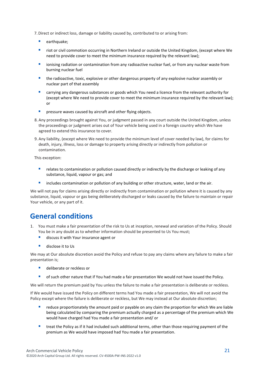7.Direct or indirect loss, damage or liability caused by, contributed to or arising from:

- earthquake;
- riot or civil commotion occurring in Northern Ireland or outside the United Kingdom, (except where We need to provide cover to meet the minimum insurance required by the relevant law);
- **E** ionising radiation or contamination from any radioactive nuclear fuel, or from any nuclear waste from burning nuclear fuel
- **■** the radioactive, toxic, explosive or other dangerous property of any explosive nuclear assembly or nuclear part of that assembly
- carrying any dangerous substances or goods which You need a licence from the relevant authority for (except where We need to provide cover to meet the minimum insurance required by the relevant law); or
- pressure waves caused by aircraft and other flying objects.
- 8. Any proceedings brought against You, or judgment passed in any court outside the United Kingdom, unless the proceedings or judgment arises out of Your vehicle being used in a foreign country which We have agreed to extend this insurance to cover.
- 9. Any liability, (except where We need to provide the minimum level of cover needed by law), for claims for death, injury, illness, loss or damage to property arising directly or indirectly from pollution or contamination.

This exception:

- **E** relates to contamination or pollution caused directly or indirectly by the discharge or leaking of any substance, liquid, vapour or gas; and
- **■** includes contamination or pollution of any building or other structure, water, land or the air.

We will not pay for claims arising directly or indirectly from contamination or pollution where it is caused by any substance, liquid, vapour or gas being deliberately discharged or leaks caused by the failure to maintain or repair Your vehicle, or any part of it.

### <span id="page-20-0"></span>**General conditions**

- 1. You must make a fair presentation of the risk to Us at inception, renewal and variation of the Policy. Should You be in any doubt as to whether information should be presented to Us You must;
	- discuss it with Your insurance agent or
	- disclose it to Us

We may at Our absolute discretion avoid the Policy and refuse to pay any claims where any failure to make a fair presentation is;

- deliberate or reckless or
- of such other nature that if You had made a fair presentation We would not have issued the Policy.

We will return the premium paid by You unless the failure to make a fair presentation is deliberate or reckless.

If We would have issued the Policy on different terms had You made a fair presentation, We will not avoid the Policy except where the failure is deliberate or reckless, but We may instead at Our absolute discretion;

- **■** reduce proportionately the amount paid or payable on any claim the proportion for which We are liable being calculated by comparing the premium actually charged as a percentage of the premium which We would have charged had You made a fair presentation and/ or
- treat the Policy as if it had included such additional terms, other than those requiring payment of the premium as We would have imposed had You made a fair presentation.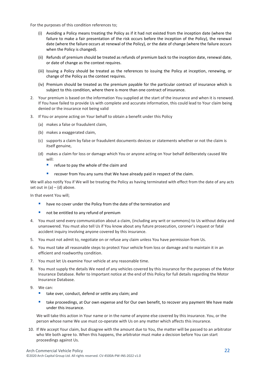For the purposes of this condition references to;

- (i) Avoiding a Policy means treating the Policy as if it had not existed from the inception date (where the failure to make a fair presentation of the risk occurs before the inception of the Policy), the renewal date (where the failure occurs at renewal of the Policy), or the date of change (where the failure occurs when the Policy is changed).
- (ii) Refunds of premium should be treated as refunds of premium back to the inception date, renewal date, or date of change as the context requires.
- (iii) Issuing a Policy should be treated as the references to issuing the Policy at inception, renewing, or change of the Policy as the context requires.
- (iv) Premium should be treated as the premium payable for the particular contract of insurance which is subject to this condition, where there is more than one contract of insurance.
- 2. Your premium is based on the information You supplied at the start of the insurance and when it is renewed. If You have failed to provide Us with complete and accurate information, this could lead to Your claim being denied or the insurance not being valid
- 3. If You or anyone acting on Your behalf to obtain a benefit under this Policy
	- (a) makes a false or fraudulent claim,
	- (b) makes a exaggerated claim,
	- (c) supports a claim by false or fraudulent documents devices or statements whether or not the claim is itself genuine,
	- (d) makes a claim for loss or damage which You or anyone acting on Your behalf deliberately caused We will:
		- **•** refuse to pay the whole of the claim and
		- **•** recover from You any sums that We have already paid in respect of the claim.

We will also notify You if We will be treating the Policy as having terminated with effect from the date of any acts set out in  $(a) - (d)$  above.

In that event You will;

- have no cover under the Policy from the date of the termination and
- not be entitled to any refund of premium
- 4. You must send every communication about a claim, (including any writ or summons) to Us without delay and unanswered. You must also tell Us if You know about any future prosecution, coroner's inquest or fatal accident inquiry involving anyone covered by this insurance.
- 5. You must not admit to, negotiate on or refuse any claim unless You have permission from Us.
- 6. You must take all reasonable steps to protect Your vehicle from loss or damage and to maintain it in an efficient and roadworthy condition.
- 7. You must let Us examine Your vehicle at any reasonable time.
- 8. You must supply the details We need of any vehicles covered by this insurance for the purposes of the Motor Insurance Database. Refer to Important notice at the end of this Policy for full details regarding the Motor Insurance Database.
- 9. We can:
	- take over, conduct, defend or settle any claim; and
	- take proceedings, at Our own expense and for Our own benefit, to recover any payment We have made under this insurance.

We will take this action in Your name or in the name of anyone else covered by this insurance. You, or the person whose name We use must co-operate with Us on any matter which affects this insurance.

10. If We accept Your claim, but disagree with the amount due to You, the matter will be passed to an arbitrator who We both agree to. When this happens, the arbitrator must make a decision before You can start proceedings against Us.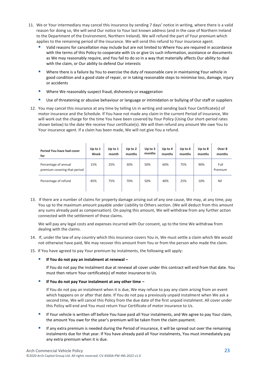- 11. We or Your intermediary may cancel this insurance by sending 7 days' notice in writing, where there is a valid reason for doing so, We will send Our notice to Your last known address (and in the case of Northern Ireland to the Department of the Environment, Northern Ireland). We will refund the part of Your premium which applies to the remaining period of the insurance. We will send this refund to Your insurance agent.
	- Valid reasons for cancellation may include but are not limited to Where You are required in accordance with the terms of this Policy to cooperate with Us or give Us such information, assistance or documents as We may reasonably require, and You fail to do so in a way that materially affects Our ability to deal with the claim, or Our ability to defend Our interests
	- Where there is a failure by You to exercise the duty of reasonable care in maintaining Your vehicle in good condition and a good state of repair, or in taking reasonable steps to minimise loss, damage, injury or accidents
	- Where We reasonably suspect fraud, dishonesty or exaggeration
	- Use of threatening or abusive behaviour or language or intimidation or bullying of Our staff or suppliers
- 12. You may cancel this insurance at any time by telling Us in writing and sending back Your Certificate(s) of motor insurance and the Schedule. If You have not made any claim in the current Period of insurance, We will work out the charge for the time You have been covered by Your Policy (Using Our short-period rates shown below) to the date We receive Your certificate(s). We will then refund any amount We owe You to Your insurance agent. If a claim has been made, We will not give You a refund.

| Period You have had cover<br>for                     | Up to $1$<br>Week | Up to $1$<br>month | Up to $2$<br>months | Up to $3$<br>months | Up to 4<br>months | Up to $6$<br>months | Up to 8<br>months | Over 8<br>months |
|------------------------------------------------------|-------------------|--------------------|---------------------|---------------------|-------------------|---------------------|-------------------|------------------|
| Percentage of annual<br>premium covering that period | 15%               | 25%                | 30%                 | 50%                 | 60%               | 75%                 | 90%               | Full<br>Premium  |
| Percentage of refund                                 | 85%               | 75%                | 70%                 | 50%                 | 40%               | 25%                 | 10%               | Nil              |

13. If there are a number of claims for property damage arising out of any one cause, We may, at any time, pay You up to the maximum amount payable under Liability to Others section. (We will deduct from this amount any sums already paid as compensation). On paying this amount, We will withdraw from any further action connected with the settlement of these claims.

We will pay any legal costs and expenses incurred with Our consent, up to the time We withdraw from dealing with the claims.

14. If, under the law of any country which this insurance covers You in, We must settle a claim which We would not otherwise have paid, We may recover this amount from You or from the person who made the claim.

15. If You have agreed to pay Your premium by instalments, the following will apply:

▪ **If You do not pay an instalment at renewal –**

If You do not pay the instalment due at renewal all cover under this contract will end from that date. You must then return Your certificate(s) of motor insurance to Us.

▪ **If You do not pay Your instalment at any other time –**

If You do not pay an instalment when it is due, We may refuse to pay any claim arising from an event which happens on or after that date. If You do not pay a previously unpaid instalment when We ask a second time, We will cancel this Policy from the due date of the first unpaid instalment. All cover under this Policy will end and You must return Your Certificate of motor insurance to Us.

- If Your vehicle is written off before You have paid all Your instalments, and We agree to pay Your claim, the amount You owe for the year's premium will be taken from the claim payment.
- If any extra premium is needed during the Period of insurance, it will be spread out over the remaining instalments due for that year. If You have already paid all Your instalments, You must immediately pay any extra premium when it is due.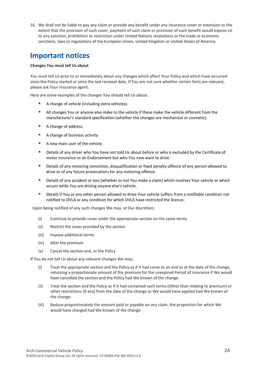16. We shall not be liable to pay any claim or provide any benefit under any insurance cover or extension to the extent that the provision of such cover, payment of such claim or provision of such benefit would expose Us to any sanction, prohibition or restriction under United Nations resolutions or the trade or economic sanctions, laws or regulations of the European Union, United Kingdom or United States of America.

### <span id="page-23-0"></span>**Important notices**

#### **Changes You must tell Us about**

You must tell Us prior to or immediately about any changes which affect Your Policy and which have occurred since the Policy started or since the last renewal date. If You are not sure whether certain facts are relevant, please ask Your insurance agent.

Here are some examples of the changes You should tell Us about:

- A change of vehicle (including extra vehicles).
- All changes You or anyone else make to the vehicle if these make the vehicle different from the manufacturer's standard specification (whether the changes are mechanical or cosmetic).
- A change of address.
- A change of business activity.
- A new main user of the vehicle.
- Details of any driver who You have not told Us about before or who is excluded by the Certificate of motor insurance or an Endorsement but who You now want to drive.
- **■** Details of any motoring conviction, disqualification or fixed penalty offence of any person allowed to drive or of any future prosecutions for any motoring offence.
- **EXTENDER IN A DETAILS OF Any accident or loss (whether or not You make a claim) which involves Your vehicle or which** occurs while You are driving anyone else's vehicle.
- **E** Details if You or any other person allowed to drive Your vehicle suffers from a notifiable condition not notified to DVLA or any condition for which DVLA have restricted the licence.

Upon being notified of any such changes We may, at Our discretion;

- (i) Continue to provide cover under the appropriate section on the same terms
- (ii) Restrict the cover provided by the section
- (iii) Impose additional terms
- (iv) Alter the premium
- (v) Cancel the section and, or the Policy

If You do not tell Us about any relevant changes We may;

- (i) Treat the appropriate section and the Policy as if it had come to an end as at the date of the change, returning a proportionate amount of the premium for the unexpired Period of insurance if We would have cancelled the section and the Policy had We known of the change.
- (ii) Treat the section and the Policy as if it had contained such terms (Other than relating to premium) or other restrictions (If any) from the date of the change as We would have applied had We known of the change.
- (iii) Reduce proportionately the amount paid or payable on any claim, the proportion for which We would have charged had We known of the change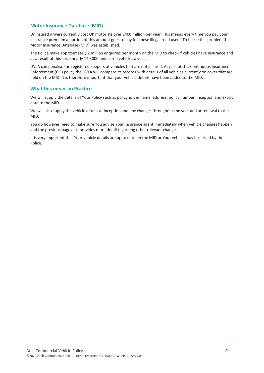#### **Motor Insurance Database (MID)**

Uninsured drivers currently cost UK motorists over £400 million per year. This means every time you pay your insurance premium a portion of this amount goes to pay for these illegal road users. To tackle this problem the Motor Insurance Database (MID) was established.

The Police make approximately 2 million enquiries per month on the MID to check if vehicles have insurance and as a result of this seize nearly 140,000 uninsured vehicles a year.

DVLA can penalise the registered keepers of vehicles that are not insured. As part of this Continuous Insurance Enforcement (CIE) policy the DVLA will compare its records with details of all vehicles currently on cover that are held on the MID. It is therefore important that your vehicle details have been added to the MID.

#### **What this means in Practice**

We will supply the details of Your Policy such as policyholder name, address, policy number, inception and expiry date to the MID.

We will also supply the vehicle details at inception and any changes throughout the year and at renewal to the MID.

You do however need to make sure You advise Your insurance agent immediately when vehicle changes happen and the previous page also provides more detail regarding other relevant changes.

It is very important that Your vehicle details are up to date on the MID or Your vehicle may be seized by the Police.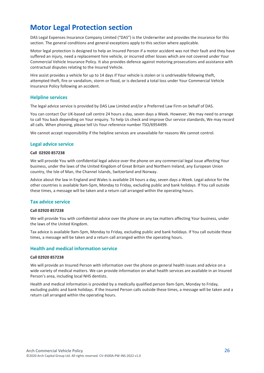### <span id="page-25-0"></span>**Motor Legal Protection section**

DAS Legal Expenses Insurance Company Limited ("DAS") is the Underwriter and provides the insurance for this section. The general conditions and general exceptions apply to this section where applicable.

Motor legal protection is designed to help an Insured Person if a motor accident was not their fault and they have suffered an injury, need a replacement hire vehicle, or incurred other losses which are not covered under Your Commercial Vehicle Insurance Policy. It also provides defence against motoring prosecutions and assistance with contractual disputes relating to the Insured Vehicle.

Hire assist provides a vehicle for up to 14 days if Your vehicle is stolen or is undriveable following theft, attempted theft, fire or vandalism, storm or flood, or is declared a total loss under Your Commercial Vehicle Insurance Policy following an accident.

#### **Helpline services**

The legal advice service is provided by DAS Law Limited and/or a Preferred Law Firm on behalf of DAS.

You can contact Our UK-based call centre 24 hours a day, seven days a Week. However, We may need to arrange to call You back depending on Your enquiry. To help Us check and improve Our service standards, We may record all calls. When phoning, please tell Us Your reference number TSO/6954499.

We cannot accept responsibility if the helpline services are unavailable for reasons We cannot control.

#### **Legal advice service**

#### **Call 02920 857238**

We will provide You with confidential legal advice over the phone on any commercial legal issue affecting Your business, under the laws of the United Kingdom of Great Britain and Northern Ireland, any European Union country, the Isle of Man, the Channel Islands, Switzerland and Norway.

Advice about the law in England and Wales is available 24 hours a day, seven days a Week. Legal advice for the other countries is available 9am-5pm, Monday to Friday, excluding public and bank holidays. If You call outside these times, a message will be taken and a return call arranged within the operating hours.

#### **Tax advice service**

#### **Call 02920 857238**

We will provide You with confidential advice over the phone on any tax matters affecting Your business, under the laws of the United Kingdom.

Tax advice is available 9am-5pm, Monday to Friday, excluding public and bank holidays. If You call outside these times, a message will be taken and a return call arranged within the operating hours.

#### **Health and medical information service**

#### **Call 02920 857238**

We will provide an Insured Person with information over the phone on general health issues and advice on a wide variety of medical matters. We can provide information on what health services are available in an Insured Person's area, including local NHS dentists.

Health and medical information is provided by a medically qualified person 9am-5pm, Monday to Friday, excluding public and bank holidays. If the Insured Person calls outside these times, a message will be taken and a return call arranged within the operating hours.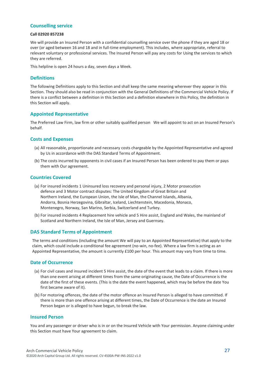#### **Counselling service**

#### **Call 02920 857238**

We will provide an Insured Person with a confidential counselling service over the phone if they are aged 18 or over (or aged between 16 and 18 and in full-time employment). This includes, where appropriate, referral to relevant voluntary or professional services. The Insured Person will pay any costs for Using the services to which they are referred.

This helpline is open 24 hours a day, seven days a Week.

#### **Definitions**

The following Definitions apply to this Section and shall keep the same meaning wherever they appear in this Section. They should also be read in conjunction with the General Definitions of the Commercial Vehicle Policy. If there is a conflict between a definition in this Section and a definition elsewhere in this Policy, the definition in this Section will apply.

#### **Appointed Representative**

The Preferred Law Firm, law firm or other suitably qualified person We will appoint to act on an Insured Person's behalf.

#### **Costs and Expenses**

- (a) All reasonable, proportionate and necessary costs chargeable by the Appointed Representative and agreed by Us in accordance with the DAS Standard Terms of Appointment.
- (b) The costs incurred by opponents in civil cases if an Insured Person has been ordered to pay them or pays them with Our agreement.

#### **Countries Covered**

- (a) For insured incidents 1 Uninsured loss recovery and personal injury, 2 Motor prosecution defence and 3 Motor contract disputes: The United Kingdom of Great Britain and Northern Ireland, the European Union, the Isle of Man, the Channel Islands, Albania, Andorra, Bosnia Herzegovina, Gibraltar, Iceland, Liechtenstein, Macedonia, Monaco, Montenegro, Norway, San Marino, Serbia, Switzerland and Turkey.
- (b) For insured incidents 4 Replacement hire vehicle and 5 Hire assist, England and Wales, the mainland of Scotland and Northern Ireland, the Isle of Man, Jersey and Guernsey.

#### **DAS Standard Terms of Appointment**

The terms and conditions (including the amount We will pay to an Appointed Representative) that apply to the claim, which could include a conditional fee agreement (no-win, no-fee). Where a law firm is acting as an Appointed Representative, the amount is currently £100 per hour. This amount may vary from time to time.

#### **Date of Occurrence**

- (a) For civil cases and insured incident 5 Hire assist, the date of the event that leads to a claim. If there is more than one event arising at different times from the same originating cause, the Date of Occurrence is the date of the first of these events. (This is the date the event happened, which may be before the date You first became aware of it).
- (b) For motoring offences, the date of the motor offence an Insured Person is alleged to have committed. If there is more than one offence arising at different times, the Date of Occurrence is the date an Insured Person began or is alleged to have begun, to break the law.

#### **Insured Person**

You and any passenger or driver who is in or on the Insured Vehicle with Your permission. Anyone claiming under this Section must have Your agreement to claim.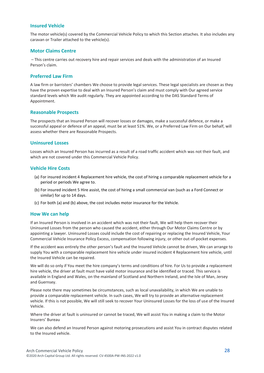#### **Insured Vehicle**

The motor vehicle(s) covered by the Commercial Vehicle Policy to which this Section attaches. It also includes any caravan or Trailer attached to the vehicle(s).

#### **Motor Claims Centre**

– This centre carries out recovery hire and repair services and deals with the administration of an Insured Person's claim.

#### **Preferred Law Firm**

A law firm or barristers' chambers We choose to provide legal services. These legal specialists are chosen as they have the proven expertise to deal with an Insured Person's claim and must comply with Our agreed service standard levels which We audit regularly. They are appointed according to the DAS Standard Terms of Appointment.

#### **Reasonable Prospects**

The prospects that an Insured Person will recover losses or damages, make a successful defence, or make a successful appeal or defence of an appeal, must be at least 51%. We, or a Preferred Law Firm on Our behalf, will assess whether there are Reasonable Prospects.

#### **Uninsured Losses**

Losses which an Insured Person has incurred as a result of a road traffic accident which was not their fault, and which are not covered under this Commercial Vehicle Policy.

#### **Vehicle Hire Costs**

- (a) For insured incident 4 Replacement hire vehicle, the cost of hiring a comparable replacement vehicle for a period or periods We agree to.
- (b) For insured incident 5 Hire assist, the cost of hiring a small commercial van (such as a Ford Connect or similar) for up to 14 days.
- (c) For both (a) and (b) above, the cost includes motor insurance for the Vehicle.

#### **How We can help**

If an Insured Person is involved in an accident which was not their fault, We will help them recover their Uninsured Losses from the person who caused the accident, either through Our Motor Claims Centre or by appointing a lawyer. Uninsured Losses could include the cost of repairing or replacing the Insured Vehicle, Your Commercial Vehicle Insurance Policy Excess, compensation following injury, or other out-of-pocket expenses.

If the accident was entirely the other person's fault and the Insured Vehicle cannot be driven, We can arrange to supply You with a comparable replacement hire vehicle under insured incident 4 Replacement hire vehicle, until the Insured Vehicle can be repaired.

We will do so only if You meet the hire company's terms and conditions of hire. For Us to provide a replacement hire vehicle, the driver at fault must have valid motor insurance and be identified or traced. This service is available in England and Wales, on the mainland of Scotland and Northern Ireland, and the Isle of Man, Jersey and Guernsey.

Please note there may sometimes be circumstances, such as local unavailability, in which We are unable to provide a comparable replacement vehicle. In such cases, We will try to provide an alternative replacement vehicle. If this is not possible, We will still seek to recover Your Uninsured Losses for the loss of use of the Insured Vehicle.

Where the driver at fault is uninsured or cannot be traced, We will assist You in making a claim to the Motor Insurers' Bureau

We can also defend an Insured Person against motoring prosecutions and assist You in contract disputes related to the Insured vehicle.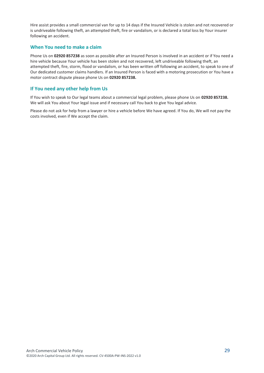Hire assist provides a small commercial van for up to 14 days if the Insured Vehicle is stolen and not recovered or is undriveable following theft, an attempted theft, fire or vandalism, or is declared a total loss by Your insurer following an accident.

#### **When You need to make a claim**

Phone Us on **02920 857238** as soon as possible after an Insured Person is involved in an accident or if You need a hire vehicle because Your vehicle has been stolen and not recovered, left undriveable following theft, an attempted theft, fire, storm, flood or vandalism, or has been written off following an accident, to speak to one of Our dedicated customer claims handlers. If an Insured Person is faced with a motoring prosecution or You have a motor contract dispute please phone Us on **02920 857238.**

#### **If You need any other help from Us**

If You wish to speak to Our legal teams about a commercial legal problem, please phone Us on **02920 857238.** We will ask You about Your legal issue and if necessary call You back to give You legal advice.

Please do not ask for help from a lawyer or hire a vehicle before We have agreed. If You do, We will not pay the costs involved, even if We accept the claim.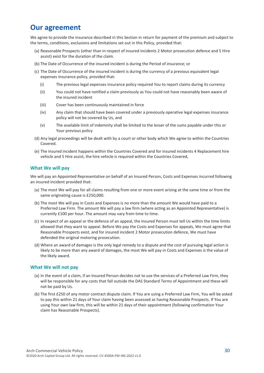### **Our agreement**

We agree to provide the insurance described in this Section in return for payment of the premium and subject to the terms, conditions, exclusions and limitations set out in this Policy, provided that:

- (a) Reasonable Prospects (other than in respect of insured incidents 2 Motor prosecution defence and 5 Hire assist) exist for the duration of the claim.
- (b) The Date of Occurrence of the insured incident is during the Period of insurance; or
- (c) The Date of Occurrence of the insured incident is during the currency of a previous equivalent legal expenses insurance policy, provided that:
	- (i) The previous legal expenses insurance policy required You to report claims during its currency
	- (ii) You could not have notified a claim previously as You could not have reasonably been aware of the insured incident
	- (iii) Cover has been continuously maintained in force
	- (iv) Any claim that should have been covered under a previously operative legal expenses insurance policy will not be covered by Us, and
	- (v) The available limit of indemnity shall be limited to the lesser of the sums payable under this or Your previous policy
- (d) Any legal proceedings will be dealt with by a court or other body which We agree to within the Countries Covered.
- (e) The insured incident happens within the Countries Covered and for insured incidents 4 Replacement hire vehicle and 5 Hire assist, the hire vehicle is required within the Countries Covered,

#### **What We will pay**

We will pay an Appointed Representative on behalf of an Insured Person, Costs and Expenses incurred following an insured incident provided that:

- (a) The most We will pay for all claims resulting from one or more event arising at the same time or from the same originating cause is £250,000.
- (b) The most We will pay in Costs and Expenses is no more than the amount We would have paid to a Preferred Law Firm. The amount We will pay a law firm (where acting as an Appointed Representative) is currently £100 per hour. The amount may vary from time to time.
- (c) In respect of an appeal or the defence of an appeal, the Insured Person must tell Us within the time limits allowed that they want to appeal. Before We pay the Costs and Expenses for appeals, We must agree that Reasonable Prospects exist, and for insured incident 2 Motor prosecution defence, We must have defended the original motoring prosecution.
- (d) Where an award of damages is the only legal remedy to a dispute and the cost of pursuing legal action is likely to be more than any award of damages, the most We will pay in Costs and Expenses is the value of the likely award.

#### **What We will not pay**

- (a) In the event of a claim, if an Insured Person decides not to use the services of a Preferred Law Firm, they will be responsible for any costs that fall outside the DAS Standard Terms of Appointment and these will not be paid by Us.
- (b) The first £250 of any motor contract dispute claim. If You are using a Preferred Law Firm, You will be asked to pay this within 21 days of Your claim having been assessed as having Reasonable Prospects. If You are using Your own law firm, this will be within 21 days of their appointment (following confirmation Your claim has Reasonable Prospects).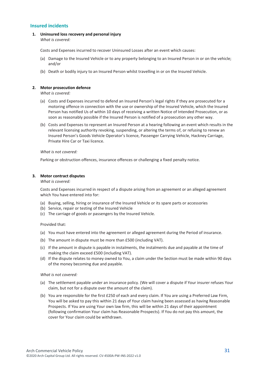#### **Insured incidents**

**1. Uninsured loss recovery and personal injury** *What is covered:*

Costs and Expenses incurred to recover Uninsured Losses after an event which causes:

- (a) Damage to the Insured Vehicle or to any property belonging to an Insured Person in or on the vehicle; and/or
- (b) Death or bodily injury to an Insured Person whilst travelling in or on the Insured Vehicle.

#### **2. Motor prosecution defence**

*What is covered:*

- (a) Costs and Expenses incurred to defend an Insured Person's legal rights if they are prosecuted for a motoring offence in connection with the use or ownership of the Insured Vehicle, which the Insured Person has notified Us of within 10 days of receiving a written Notice of Intended Prosecution, or as soon as reasonably possible if the Insured Person is notified of a prosecution any other way.
- (b) Costs and Expenses to represent an Insured Person at a hearing following an event which results in the relevant licensing authority revoking, suspending, or altering the terms of, or refusing to renew an Insured Person's Goods Vehicle Operator's licence, Passenger Carrying Vehicle, Hackney Carriage, Private Hire Car or Taxi licence.

*What is not covered:*

Parking or obstruction offences, insurance offences or challenging a fixed penalty notice.

#### **3. Motor contract disputes**

*What is covered:*

Costs and Expenses incurred in respect of a dispute arising from an agreement or an alleged agreement which You have entered into for:

- (a) Buying, selling, hiring or insurance of the Insured Vehicle or its spare parts or accessories
- (b) Service, repair or testing of the Insured Vehicle
- (c) The carriage of goods or passengers by the Insured Vehicle.

Provided that:

- (a) You must have entered into the agreement or alleged agreement during the Period of insurance.
- (b) The amount in dispute must be more than £500 (including VAT).
- (c) If the amount in dispute is payable in instalments, the instalments due and payable at the time of making the claim exceed £500 (including VAT).
- (d) If the dispute relates to money owned to You, a claim under the Section must be made within 90 days of the money becoming due and payable.

*What is not covered:*

- (a) The settlement payable under an insurance policy. (We will cover a dispute if Your insurer refuses Your claim, but not for a dispute over the amount of the claim).
- (b) You are responsible for the first £250 of each and every claim. If You are using a Preferred Law Firm, You will be asked to pay this within 21 days of Your claim having been assessed as having Reasonable Prospects. If You are using Your own law firm, this will be within 21 days of their appointment (following confirmation Your claim has Reasonable Prospects). If You do not pay this amount, the cover for Your claim could be withdrawn.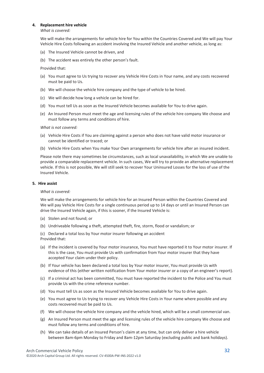#### **4. Replacement hire vehicle**

*What is covered:*

We will make the arrangements for vehicle hire for You within the Countries Covered and We will pay Your Vehicle Hire Costs following an accident involving the Insured Vehicle and another vehicle, as long as:

- (a) The Insured Vehicle cannot be driven, and
- (b) The accident was entirely the other person's fault.

Provided that:

- (a) You must agree to Us trying to recover any Vehicle Hire Costs in Your name, and any costs recovered must be paid to Us.
- (b) We will choose the vehicle hire company and the type of vehicle to be hired.
- (c) We will decide how long a vehicle can be hired for.
- (d) You must tell Us as soon as the Insured Vehicle becomes available for You to drive again.
- (e) An Insured Person must meet the age and licensing rules of the vehicle hire company We choose and must follow any terms and conditions of hire.

*What is not covered:*

- (a) Vehicle Hire Costs if You are claiming against a person who does not have valid motor insurance or cannot be identified or traced; or
- (b) Vehicle Hire Costs when You make Your Own arrangements for vehicle hire after an insured incident.

Please note there may sometimes be circumstances, such as local unavailability, in which We are unable to provide a comparable replacement vehicle. In such cases, We will try to provide an alternative replacement vehicle. If this is not possible, We will still seek to recover Your Uninsured Losses for the loss of use of the Insured Vehicle.

#### **5. Hire assist**

#### *What is covered:*

We will make the arrangements for vehicle hire for an Insured Person within the Countries Covered and We will pay Vehicle Hire Costs for a single continuous period up to 14 days or until an Insured Person can drive the Insured Vehicle again, if this is sooner, if the Insured Vehicle is:

- (a) Stolen and not found; or
- (b) Undriveable following a theft, attempted theft, fire, storm, flood or vandalism; or

(c) Declared a total loss by Your motor insurer following an accident Provided that:

- (a) If the incident is covered by Your motor insurance, You must have reported it to Your motor insurer. If this is the case, You must provide Us with confirmation from Your motor insurer that they have accepted Your claim under their policy.
- (b) If Your vehicle has been declared a total loss by Your motor insurer, You must provide Us with evidence of this (either written notification from Your motor insurer or a copy of an engineer's report).
- (c) If a criminal act has been committed, You must have reported the incident to the Police and You must provide Us with the crime reference number.
- (d) You must tell Us as soon as the Insured Vehicle becomes available for You to drive again.
- (e) You must agree to Us trying to recover any Vehicle Hire Costs in Your name where possible and any costs recovered must be paid to Us.
- (f) We will choose the vehicle hire company and the vehicle hired, which will be a small commercial van.
- (g) An Insured Person must meet the age and licensing rules of the vehicle hire company We choose and must follow any terms and conditions of hire.
- (h) We can take details of an Insured Person's claim at any time, but can only deliver a hire vehicle between 8am-6pm Monday to Friday and 8am-12pm Saturday (excluding public and bank holidays).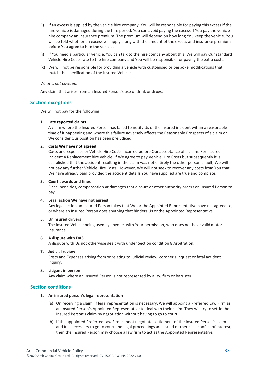- (i) If an excess is applied by the vehicle hire company, You will be responsible for paying this excess if the hire vehicle is damaged during the hire period. You can avoid paying the excess if You pay the vehicle hire company an insurance premium. The premium will depend on how long You keep the vehicle. You will be told whether an excess will apply along with the amount of the excess and insurance premium before You agree to hire the vehicle.
- (j) If You need a particular vehicle, You can talk to the hire company about this. We will pay Our standard Vehicle Hire Costs rate to the hire company and You will be responsible for paying the extra costs.
- (k) We will not be responsible for providing a vehicle with customised or bespoke modifications that match the specification of the Insured Vehicle.

#### *What is not covered:*

Any claim that arises from an Insured Person's use of drink or drugs.

#### **Section exceptions**

We will not pay for the following:

#### **1. Late reported claims**

A claim where the Insured Person has failed to notify Us of the insured incident within a reasonable time of it happening and where this failure adversely affects the Reasonable Prospects of a claim or We consider Our position has been prejudiced.

#### **2. Costs We have not agreed**

Costs and Expenses or Vehicle Hire Costs incurred before Our acceptance of a claim. For insured incident 4 Replacement hire vehicle, if We agree to pay Vehicle Hire Costs but subsequently it is established that the accident resulting in the claim was not entirely the other person's fault, We will not pay any further Vehicle Hire Costs. However, We will not seek to recover any costs from You that We have already paid provided the accident details You have supplied are true and complete.

#### **3. Court awards and fines**

Fines, penalties, compensation or damages that a court or other authority orders an Insured Person to pay.

#### **4. Legal action We have not agreed**

Any legal action an Insured Person takes that We or the Appointed Representative have not agreed to, or where an Insured Person does anything that hinders Us or the Appointed Representative.

#### **5. Uninsured drivers**

The Insured Vehicle being used by anyone, with Your permission, who does not have valid motor insurance.

#### **6. A dispute with DAS**

A dispute with Us not otherwise dealt with under Section condition 8 Arbitration.

#### **7. Judicial review**

Costs and Expenses arising from or relating to judicial review, coroner's inquest or fatal accident inquiry.

#### **8. Litigant in person**

Any claim where an Insured Person is not represented by a law firm or barrister.

#### **Section conditions**

#### **1. An insured person's legal representation**

- (a) On receiving a claim, if legal representation is necessary, We will appoint a Preferred Law Firm as an Insured Person's Appointed Representative to deal with their claim. They will try to settle the Insured Person's claim by negotiation without having to go to court.
- (b) If the appointed Preferred Law Firm cannot negotiate settlement of the Insured Person's claim and it is necessary to go to court and legal proceedings are issued or there is a conflict of interest, then the Insured Person may choose a law firm to act as the Appointed Representative.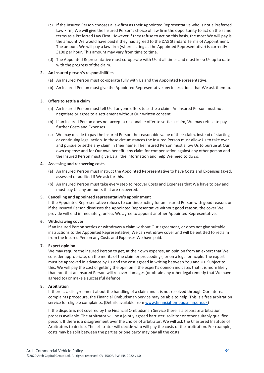- (c) If the Insured Person chooses a law firm as their Appointed Representative who is not a Preferred Law Firm, We will give the Insured Person's choice of law firm the opportunity to act on the same terms as a Preferred Law Firm. However if they refuse to act on this basis, the most We will pay is the amount We would have paid if they had agreed to the DAS Standard Terms of Appointment. The amount We will pay a law firm (where acting as the Appointed Representative) is currently £100 per hour. This amount may vary from time to time.
- (d) The Appointed Representative must co-operate with Us at all times and must keep Us up to date with the progress of the claim.

#### **2. An insured person's responsibilities**

- (a) An Insured Person must co-operate fully with Us and the Appointed Representative.
- (b) An Insured Person must give the Appointed Representative any instructions that We ask them to.

#### **3. Offers to settle a claim**

- (a) An Insured Person must tell Us if anyone offers to settle a claim. An Insured Person must not negotiate or agree to a settlement without Our written consent.
- (b) If an Insured Person does not accept a reasonable offer to settle a claim, We may refuse to pay further Costs and Expenses.
- (c) We may decide to pay the Insured Person the reasonable value of their claim, instead of starting or continuing legal action. In these circumstances the Insured Person must allow Us to take over and pursue or settle any claim in their name. The Insured Person must allow Us to pursue at Our own expense and for Our own benefit, any claim for compensation against any other person and the Insured Person must give Us all the information and help We need to do so.

#### **4. Assessing and recovering costs**

- (a) An Insured Person must instruct the Appointed Representative to have Costs and Expenses taxed, assessed or audited if We ask for this.
- (b) An Insured Person must take every step to recover Costs and Expenses that We have to pay and must pay Us any amounts that are recovered.

#### **5. Cancelling and appointed representative's appointment**

If the Appointed Representative refuses to continue acting for an Insured Person with good reason, or if the Insured Person dismisses the Appointed Representative without good reason, the cover We provide will end immediately, unless We agree to appoint another Appointed Representative.

#### **6. Withdrawing cover**

If an Insured Person settles or withdraws a claim without Our agreement, or does not give suitable instructions to the Appointed Representative, We can withdraw cover and will be entitled to reclaim from the Insured Person any Costs and Expenses We have paid.

#### **7. Expert opinion**

We may require the Insured Person to get, at their own expense, an opinion from an expert that We consider appropriate, on the merits of the claim or proceedings, or on a legal principle. The expert must be approved in advance by Us and the cost agreed in writing between You and Us. Subject to this, We will pay the cost of getting the opinion if the expert's opinion indicates that it is more likely than not that an Insured Person will recover damages (or obtain any other legal remedy that We have agreed to) or make a successful defence.

#### **8. Arbitration**

If there is a disagreement about the handling of a claim and it is not resolved through Our internal complaints procedure, the Financial Ombudsman Service may be able to help. This is a free arbitration service for eligible complaints. (Details available from [www.financial-ombudsman.org.uk\)](http://www.financial-ombudsman.org.uk/)

If the dispute is not covered by the Financial Ombudsman Service there is a separate arbitration process available. The arbitrator will be a jointly agreed barrister, solicitor or other suitably qualified person. If there is a disagreement over the choice of arbitrator, We will ask the Chartered Institute of Arbitrators to decide. The arbitrator will decide who will pay the costs of the arbitration. For example, costs may be split between the parties or one party may pay all the costs.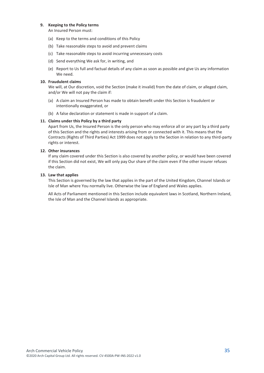#### **9. Keeping to the Policy terms**

An Insured Person must:

- (a) Keep to the terms and conditions of this Policy
- (b) Take reasonable steps to avoid and prevent claims
- (c) Take reasonable steps to avoid incurring unnecessary costs
- (d) Send everything We ask for, in writing, and
- (e) Report to Us full and factual details of any claim as soon as possible and give Us any information We need.

#### **10. Fraudulent claims**

We will, at Our discretion, void the Section (make it invalid) from the date of claim, or alleged claim, and/or We will not pay the claim if:

- (a) A claim an Insured Person has made to obtain benefit under this Section is fraudulent or intentionally exaggerated, or
- (b) A false declaration or statement is made in support of a claim.

#### **11. Claims under this Policy by a third party**

Apart from Us, the Insured Person is the only person who may enforce all or any part by a third party of this Section and the rights and interests arising from or connected with it. This means that the Contracts (Rights of Third Parties) Act 1999 does not apply to the Section in relation to any third-party rights or interest.

#### **12. Other insurances**

If any claim covered under this Section is also covered by another policy, or would have been covered if this Section did not exist, We will only pay Our share of the claim even if the other insurer refuses the claim.

#### **13. Law that applies**

This Section is governed by the law that applies in the part of the United Kingdom, Channel Islands or Isle of Man where You normally live. Otherwise the law of England and Wales applies.

All Acts of Parliament mentioned in this Section include equivalent laws in Scotland, Northern Ireland, the Isle of Man and the Channel Islands as appropriate.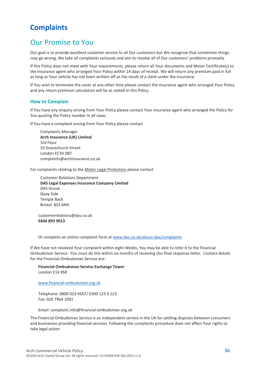# <span id="page-35-0"></span>**Complaints**

### Our Promise to You

Our goal is to provide excellent customer service to all Our customers but We recognise that sometimes things may go wrong, We take all complaints seriously and aim to resolve all of Our customers' problems promptly.

If this Policy does not meet with Your requirements, please return all Your documents and Motor Certificate(s) to the insurance agent who arranged Your Policy within 14 days of receipt. We will return any premium paid in full as long as Your vehicle has not been written off as the result of a claim under the insurance.

If You wish to terminate the cover at any other time please contact the insurance agent who arranged Your Policy and any return premium calculation will be as stated in this Policy.

#### **How to Complain**

If You have any enquiry arising from Your Policy please contact Your insurance agent who arranged the Policy for You quoting the Policy number in all cases

If You have a complaint arising from Your Policy please contact

Complaints Manager **Arch Insurance (UK) Limited** 3rd Floor 33 Gracechurch Street London EC3V 0BT complaints@archinsurance.co.uk

For complaints relating to the Motor Legal Protection please contact

Customer Relations Department **DAS Legal Expenses Insurance Company Limited** DAS House Quay Side Temple Back Bristol BS1 6NH

customerrelations@das.co.uk **0344 893 9013**

Or complete an online complaint form a[t www.das.co.uk/about-das/complaints](http://www.das.co.uk/about-das/complaints)

If We have not resolved Your complaint within eight Weeks, You may be able to refer it to the Financial Ombudsman Service. You must do this within six months of receiving Our final response letter. Contact details for the Financial Ombudsman Service are:

**Financial Ombudsman Service Exchange Tower** London E14 9SR

[www.financial-ombudsman.org.uk](file://///AIGI-PAVNAS002.corp.archcapservices.com/Branding/_BCS/00_WIP/00509-UK-Policy-Templates/00509G-3-Schemes-ArchBranded/Word_docs/UK-Templates-3-20/FINAL/www.financial-ombudsman.org.uk)

Telephone: 0800 023 4567/ 0300 123 9 123 Fax: 020 7964 1001

*Email:* complaint.info@financial-ombudsman.org.uk

The Financial Ombudsman Service is an independent service in the UK for settling disputes between consumers and businesses providing financial services. Following the complaints procedure does not affect Your rights to take legal action